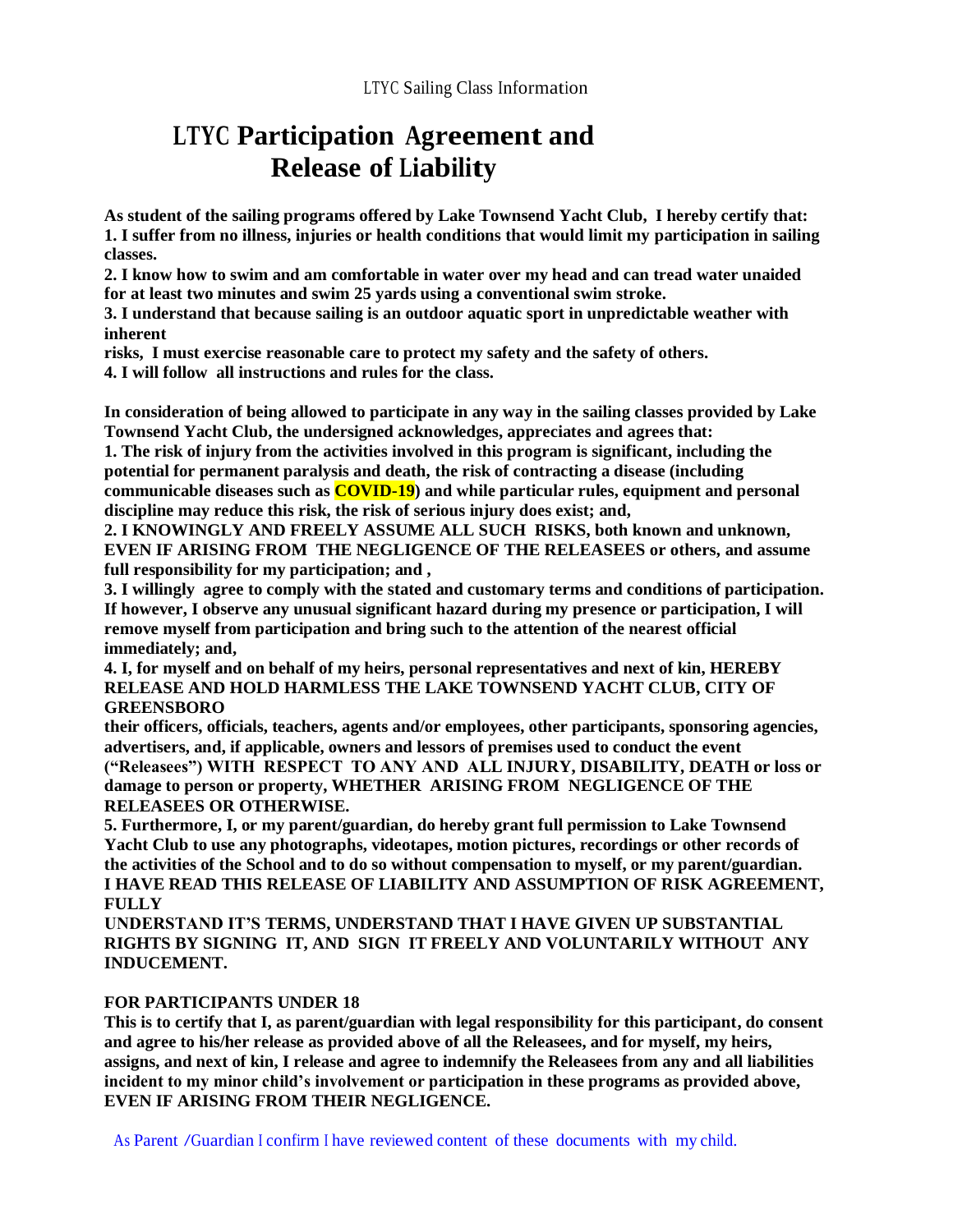## **LTYC Participation Agreement and Release of Liability**

**As student of the sailing programs offered by Lake Townsend Yacht Club, I hereby certify that: 1. I suffer from no illness, injuries or health conditions that would limit my participation in sailing classes.**

**2. I know how to swim and am comfortable in water over my head and can tread water unaided for at least two minutes and swim 25 yards using a conventional swim stroke.**

**3. I understand that because sailing is an outdoor aquatic sport in unpredictable weather with inherent**

**risks, I must exercise reasonable care to protect my safety and the safety of others.**

**4. I will follow all instructions and rules for the class.**

**In consideration of being allowed to participate in any way in the sailing classes provided by Lake Townsend Yacht Club, the undersigned acknowledges, appreciates and agrees that:**

**1. The risk of injury from the activities involved in this program is significant, including the potential for permanent paralysis and death, the risk of contracting a disease (including communicable diseases such as COVID-19) and while particular rules, equipment and personal discipline may reduce this risk, the risk of serious injury does exist; and,**

**2. I KNOWINGLY AND FREELY ASSUME ALL SUCH RISKS, both known and unknown, EVEN IF ARISING FROM THE NEGLIGENCE OF THE RELEASEES or others, and assume full responsibility for my participation; and ,**

**3. I willingly agree to comply with the stated and customary terms and conditions of participation. If however, I observe any unusual significant hazard during my presence or participation, I will remove myself from participation and bring such to the attention of the nearest official immediately; and,**

**4. I, for myself and on behalf of my heirs, personal representatives and next of kin, HEREBY RELEASE AND HOLD HARMLESS THE LAKE TOWNSEND YACHT CLUB, CITY OF GREENSBORO**

**their officers, officials, teachers, agents and/or employees, other participants, sponsoring agencies, advertisers, and, if applicable, owners and lessors of premises used to conduct the event ("Releasees") WITH RESPECT TO ANY AND ALL INJURY, DISABILITY, DEATH or loss or damage to person or property, WHETHER ARISING FROM NEGLIGENCE OF THE RELEASEES OR OTHERWISE.**

**5. Furthermore, I, or my parent/guardian, do hereby grant full permission to Lake Townsend Yacht Club to use any photographs, videotapes, motion pictures, recordings or other records of the activities of the School and to do so without compensation to myself, or my parent/guardian. I HAVE READ THIS RELEASE OF LIABILITY AND ASSUMPTION OF RISK AGREEMENT, FULLY**

**UNDERSTAND IT'S TERMS, UNDERSTAND THAT I HAVE GIVEN UP SUBSTANTIAL RIGHTS BY SIGNING IT, AND SIGN IT FREELY AND VOLUNTARILY WITHOUT ANY INDUCEMENT.**

#### **FOR PARTICIPANTS UNDER 18**

**This is to certify that I, as parent/guardian with legal responsibility for this participant, do consent and agree to his/her release as provided above of all the Releasees, and for myself, my heirs, assigns, and next of kin, I release and agree to indemnify the Releasees from any and all liabilities incident to my minor child's involvement or participation in these programs as provided above, EVEN IF ARISING FROM THEIR NEGLIGENCE.**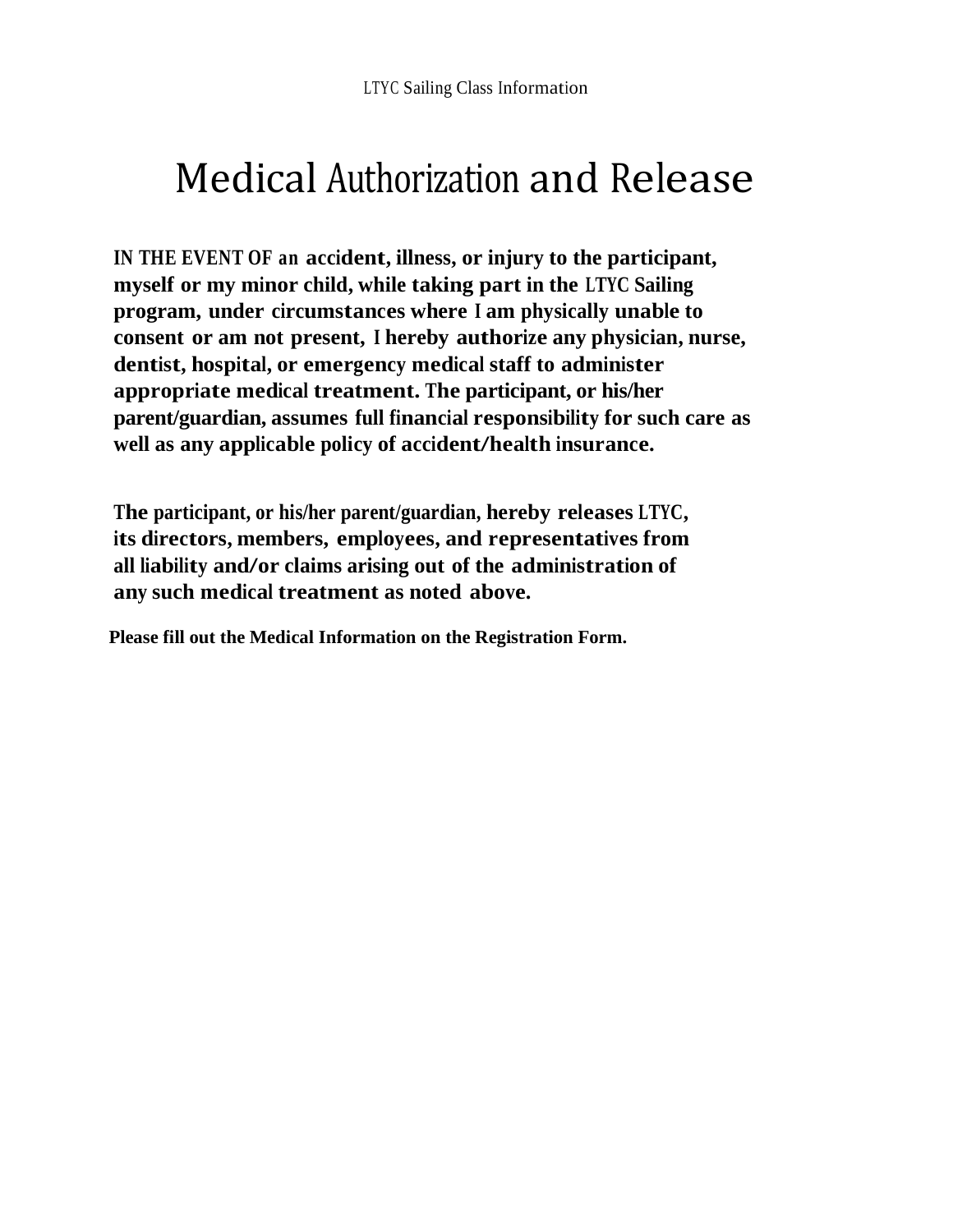# Medical Authorization and Release

**IN THE EVENT OF an accident, illness, or injury to the participant, myself or my minor child, while taking part in the LTYC Sailing program, under circumstances where <sup>I</sup> am physically unable to consent or am not present, <sup>I</sup> hereby authorize any physician, nurse, dentist, hospital, or emergency medical staff to administer appropriate medical treatment. The participant, or his/her parent/guardian, assumes full financial responsibility for such care as well as any applicable policy of accident/health insurance.**

**The participant, or his/her parent/guardian, hereby releases LTYC, its directors, members, employees, and representatives from all liability and/or claims arising out of the administration of any such medical treatment as noted above.**

**Please fill out the Medical Information on the Registration Form.**